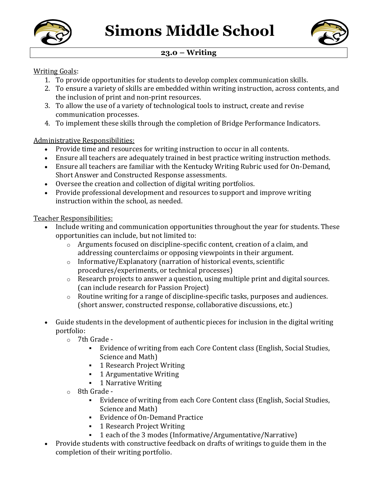



# **23.0 – Writing**

#### **Writing Goals:**

- 1. To provide opportunities for students to develop complex communication skills.
- 2. To ensure a variety of skills are embedded within writing instruction, across contents, and the inclusion of print and non-print resources.
- 3. To allow the use of a variety of technological tools to instruct, create and revise communication processes.
- 4. To implement these skills through the completion of Bridge Performance Indicators.

#### Administrative Responsibilities:

- Provide time and resources for writing instruction to occur in all contents.
- Ensure all teachers are adequately trained in best practice writing instruction methods.
- Ensure all teachers are familiar with the Kentucky Writing Rubric used for On-Demand, Short Answer and Constructed Response assessments.
- Oversee the creation and collection of digital writing portfolios.
- Provide professional development and resources to support and improve writing instruction within the school, as needed.

#### Teacher Responsibilities:

- Include writing and communication opportunities throughout the year for students. These opportunities can include, but not limited to:
	- $\circ$  Arguments focused on discipline-specific content, creation of a claim, and addressing counterclaims or opposing viewpoints in their argument.
	- $\circ$  Informative/Explanatory (narration of historical events, scientific procedures/experiments, or technical processes)
	- $\circ$  Research projects to answer a question, using multiple print and digital sources. (can include research for Passion Project)
	- $\circ$  Routine writing for a range of discipline-specific tasks, purposes and audiences. (short answer, constructed response, collaborative discussions, etc.)
- Guide students in the development of authentic pieces for inclusion in the digital writing portfolio:
	- $\circ$  7th Grade -
		- Evidence of writing from each Core Content class (English, Social Studies, Science and Math)
		- 1 Research Project Writing
		- 1 Argumentative Writing
		- § 1 Narrative Writing
	- $\circ$  8th Grade -
		- Evidence of writing from each Core Content class (English, Social Studies, Science and Math)
		- Evidence of On-Demand Practice
		- 1 Research Project Writing
		- 1 each of the 3 modes (Informative/Argumentative/Narrative)
- Provide students with constructive feedback on drafts of writings to guide them in the completion of their writing portfolio.